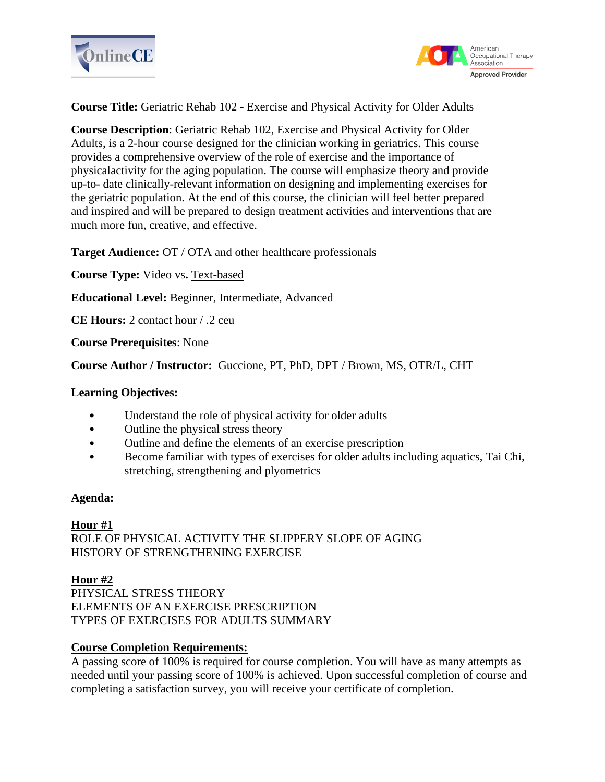



## **Course Title:** Geriatric Rehab 102 - Exercise and Physical Activity for Older Adults

**Course Description**: Geriatric Rehab 102, Exercise and Physical Activity for Older Adults, is a 2-hour course designed for the clinician working in geriatrics. This course provides a comprehensive overview of the role of exercise and the importance of physicalactivity for the aging population. The course will emphasize theory and provide up-to- date clinically-relevant information on designing and implementing exercises for the geriatric population. At the end of this course, the clinician will feel better prepared and inspired and will be prepared to design treatment activities and interventions that are much more fun, creative, and effective.

**Target Audience:** OT / OTA and other healthcare professionals

**Course Type:** Video vs**.** Text-based

**Educational Level:** Beginner, Intermediate, Advanced

**CE Hours:** 2 contact hour / .2 ceu

**Course Prerequisites**: None

**Course Author / Instructor:** Guccione, PT, PhD, DPT / Brown, MS, OTR/L, CHT

### **Learning Objectives:**

- Understand the role of physical activity for older adults
- Outline the physical stress theory
- Outline and define the elements of an exercise prescription
- Become familiar with types of exercises for older adults including aquatics, Tai Chi, stretching, strengthening and plyometrics

### **Agenda:**

### **Hour #1**

ROLE OF PHYSICAL ACTIVITY THE SLIPPERY SLOPE OF AGING HISTORY OF STRENGTHENING EXERCISE

### **Hour #2**

PHYSICAL STRESS THEORY ELEMENTS OF AN EXERCISE PRESCRIPTION TYPES OF EXERCISES FOR ADULTS SUMMARY

### **Course Completion Requirements:**

A passing score of 100% is required for course completion. You will have as many attempts as needed until your passing score of 100% is achieved. Upon successful completion of course and completing a satisfaction survey, you will receive your certificate of completion.